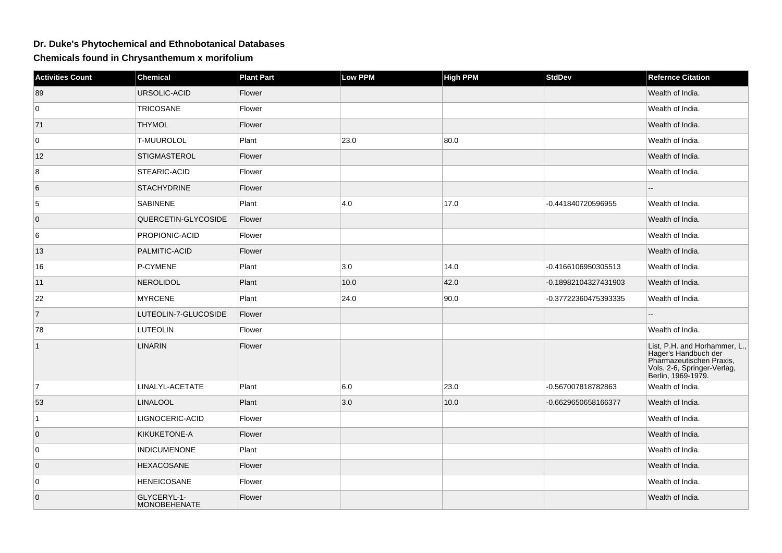## **Dr. Duke's Phytochemical and Ethnobotanical Databases**

**Chemicals found in Chrysanthemum x morifolium**

| <b>Activities Count</b> | <b>Chemical</b>                    | <b>Plant Part</b> | Low PPM | <b>High PPM</b> | <b>StdDev</b>        | <b>Refernce Citation</b>                                                                                                               |
|-------------------------|------------------------------------|-------------------|---------|-----------------|----------------------|----------------------------------------------------------------------------------------------------------------------------------------|
| 89                      | URSOLIC-ACID                       | Flower            |         |                 |                      | Wealth of India.                                                                                                                       |
| $\overline{0}$          | <b>TRICOSANE</b>                   | Flower            |         |                 |                      | Wealth of India.                                                                                                                       |
| 71                      | <b>THYMOL</b>                      | Flower            |         |                 |                      | Wealth of India.                                                                                                                       |
| 0                       | <b>T-MUUROLOL</b>                  | Plant             | 23.0    | 80.0            |                      | Wealth of India.                                                                                                                       |
| 12                      | <b>STIGMASTEROL</b>                | Flower            |         |                 |                      | Wealth of India.                                                                                                                       |
| 8                       | STEARIC-ACID                       | Flower            |         |                 |                      | Wealth of India.                                                                                                                       |
| 6                       | <b>STACHYDRINE</b>                 | Flower            |         |                 |                      |                                                                                                                                        |
| $\sqrt{5}$              | <b>SABINENE</b>                    | Plant             | 4.0     | 17.0            | -0.441840720596955   | Wealth of India.                                                                                                                       |
| $\overline{0}$          | QUERCETIN-GLYCOSIDE                | Flower            |         |                 |                      | Wealth of India.                                                                                                                       |
| 6                       | PROPIONIC-ACID                     | Flower            |         |                 |                      | Wealth of India.                                                                                                                       |
| 13                      | PALMITIC-ACID                      | Flower            |         |                 |                      | Wealth of India.                                                                                                                       |
| 16                      | P-CYMENE                           | Plant             | 3.0     | 14.0            | -0.4166106950305513  | Wealth of India.                                                                                                                       |
| 11                      | <b>NEROLIDOL</b>                   | Plant             | 10.0    | 42.0            | -0.18982104327431903 | Wealth of India.                                                                                                                       |
| 22                      | <b>MYRCENE</b>                     | Plant             | 24.0    | 90.0            | -0.37722360475393335 | Wealth of India.                                                                                                                       |
| $\vert$ 7               | LUTEOLIN-7-GLUCOSIDE               | Flower            |         |                 |                      |                                                                                                                                        |
| 78                      | <b>LUTEOLIN</b>                    | Flower            |         |                 |                      | Wealth of India.                                                                                                                       |
| $\vert$ 1               | <b>LINARIN</b>                     | Flower            |         |                 |                      | List, P.H. and Horhammer, L.,<br>Hager's Handbuch der<br>Pharmazeutischen Praxis,<br>Vols. 2-6, Springer-Verlag,<br>Berlin, 1969-1979. |
| 7                       | LINALYL-ACETATE                    | Plant             | 6.0     | 23.0            | -0.567007818782863   | Wealth of India.                                                                                                                       |
| 53                      | <b>LINALOOL</b>                    | Plant             | 3.0     | 10.0            | -0.6629650658166377  | Wealth of India.                                                                                                                       |
| $\vert$ 1               | LIGNOCERIC-ACID                    | Flower            |         |                 |                      | Wealth of India.                                                                                                                       |
| $\overline{0}$          | KIKUKETONE-A                       | Flower            |         |                 |                      | Wealth of India.                                                                                                                       |
| 0                       | <b>INDICUMENONE</b>                | Plant             |         |                 |                      | Wealth of India.                                                                                                                       |
| 0                       | <b>HEXACOSANE</b>                  | Flower            |         |                 |                      | Wealth of India.                                                                                                                       |
| 0                       | <b>HENEICOSANE</b>                 | Flower            |         |                 |                      | Wealth of India.                                                                                                                       |
| $\overline{0}$          | GLYCERYL-1-<br><b>MONOBEHENATE</b> | Flower            |         |                 |                      | Wealth of India.                                                                                                                       |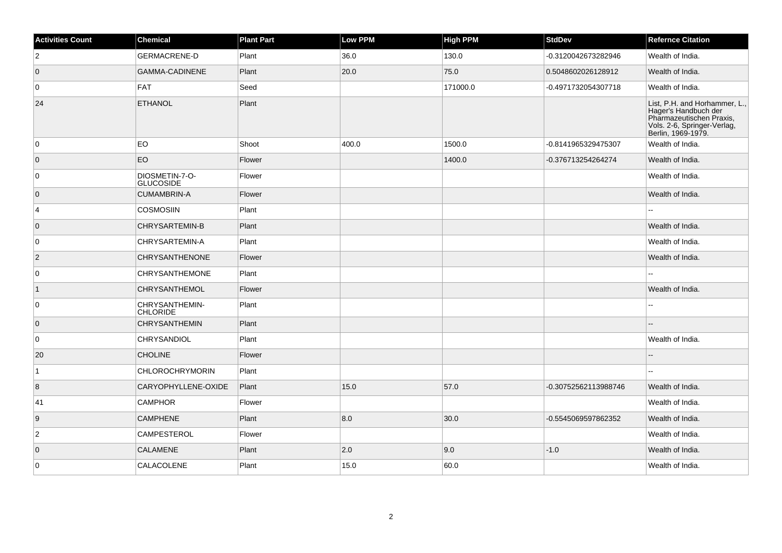| <b>Activities Count</b> | Chemical                           | <b>Plant Part</b> | <b>Low PPM</b> | <b>High PPM</b> | <b>StdDev</b>        | <b>Refernce Citation</b>                                                                                                               |
|-------------------------|------------------------------------|-------------------|----------------|-----------------|----------------------|----------------------------------------------------------------------------------------------------------------------------------------|
| $\overline{2}$          | <b>GERMACRENE-D</b>                | Plant             | 36.0           | 130.0           | -0.3120042673282946  | Wealth of India.                                                                                                                       |
| $\overline{0}$          | <b>GAMMA-CADINENE</b>              | Plant             | 20.0           | 75.0            | 0.5048602026128912   | Wealth of India.                                                                                                                       |
| $\overline{0}$          | FAT                                | Seed              |                | 171000.0        | -0.4971732054307718  | Wealth of India.                                                                                                                       |
| 24                      | <b>ETHANOL</b>                     | Plant             |                |                 |                      | List, P.H. and Horhammer, L.,<br>Hager's Handbuch der<br>Pharmazeutischen Praxis,<br>Vols. 2-6, Springer-Verlag,<br>Berlin, 1969-1979. |
| $\overline{0}$          | <b>EO</b>                          | Shoot             | 400.0          | 1500.0          | -0.8141965329475307  | Wealth of India.                                                                                                                       |
| $\overline{0}$          | EO                                 | Flower            |                | 1400.0          | -0.376713254264274   | Wealth of India.                                                                                                                       |
| 0                       | DIOSMETIN-7-O-<br><b>GLUCOSIDE</b> | Flower            |                |                 |                      | Wealth of India.                                                                                                                       |
| $\overline{0}$          | <b>CUMAMBRIN-A</b>                 | Flower            |                |                 |                      | Wealth of India.                                                                                                                       |
| 4                       | <b>COSMOSIIN</b>                   | Plant             |                |                 |                      | шш.                                                                                                                                    |
| $\overline{0}$          | <b>CHRYSARTEMIN-B</b>              | Plant             |                |                 |                      | Wealth of India.                                                                                                                       |
| 0                       | CHRYSARTEMIN-A                     | Plant             |                |                 |                      | Wealth of India.                                                                                                                       |
| $\vert$ 2               | <b>CHRYSANTHENONE</b>              | Flower            |                |                 |                      | Wealth of India.                                                                                                                       |
| 0                       | <b>CHRYSANTHEMONE</b>              | Plant             |                |                 |                      |                                                                                                                                        |
| $\overline{1}$          | <b>CHRYSANTHEMOL</b>               | Flower            |                |                 |                      | Wealth of India.                                                                                                                       |
| 0                       | CHRYSANTHEMIN-<br><b>CHLORIDE</b>  | Plant             |                |                 |                      |                                                                                                                                        |
| $\overline{0}$          | <b>CHRYSANTHEMIN</b>               | Plant             |                |                 |                      |                                                                                                                                        |
| 0                       | <b>CHRYSANDIOL</b>                 | Plant             |                |                 |                      | Wealth of India.                                                                                                                       |
| 20                      | <b>CHOLINE</b>                     | Flower            |                |                 |                      |                                                                                                                                        |
| $\overline{1}$          | <b>CHLOROCHRYMORIN</b>             | Plant             |                |                 |                      |                                                                                                                                        |
| 8                       | CARYOPHYLLENE-OXIDE                | Plant             | 15.0           | 57.0            | -0.30752562113988746 | Wealth of India.                                                                                                                       |
| 41                      | <b>CAMPHOR</b>                     | Flower            |                |                 |                      | Wealth of India.                                                                                                                       |
| 9                       | <b>CAMPHENE</b>                    | Plant             | 8.0            | 30.0            | -0.5545069597862352  | Wealth of India.                                                                                                                       |
| $\overline{2}$          | <b>CAMPESTEROL</b>                 | Flower            |                |                 |                      | Wealth of India.                                                                                                                       |
| $\overline{0}$          | <b>CALAMENE</b>                    | Plant             | 2.0            | 9.0             | $-1.0$               | Wealth of India.                                                                                                                       |
| $\overline{0}$          | CALACOLENE                         | Plant             | 15.0           | 60.0            |                      | Wealth of India.                                                                                                                       |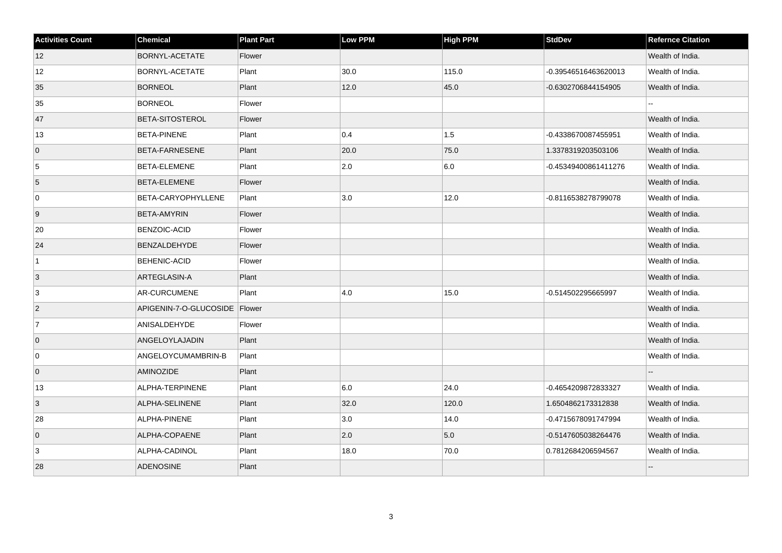| <b>Activities Count</b> | Chemical                        | <b>Plant Part</b> | Low PPM | <b>High PPM</b> | <b>StdDev</b>        | <b>Refernce Citation</b> |
|-------------------------|---------------------------------|-------------------|---------|-----------------|----------------------|--------------------------|
| 12                      | BORNYL-ACETATE                  | Flower            |         |                 |                      | Wealth of India.         |
| 12                      | <b>BORNYL-ACETATE</b>           | Plant             | 30.0    | 115.0           | -0.39546516463620013 | Wealth of India.         |
| 35                      | <b>BORNEOL</b>                  | Plant             | 12.0    | 45.0            | -0.6302706844154905  | Wealth of India.         |
| 35                      | <b>BORNEOL</b>                  | Flower            |         |                 |                      |                          |
| 47                      | <b>BETA-SITOSTEROL</b>          | Flower            |         |                 |                      | Wealth of India.         |
| 13                      | <b>BETA-PINENE</b>              | Plant             | 0.4     | 1.5             | -0.4338670087455951  | Wealth of India.         |
| $\overline{0}$          | <b>BETA-FARNESENE</b>           | Plant             | 20.0    | 75.0            | 1.3378319203503106   | Wealth of India.         |
| 5                       | <b>BETA-ELEMENE</b>             | Plant             | 2.0     | 6.0             | -0.45349400861411276 | Wealth of India.         |
| 5                       | <b>BETA-ELEMENE</b>             | Flower            |         |                 |                      | Wealth of India.         |
| 0                       | BETA-CARYOPHYLLENE              | Plant             | 3.0     | 12.0            | -0.8116538278799078  | Wealth of India.         |
| 9                       | <b>BETA-AMYRIN</b>              | Flower            |         |                 |                      | Wealth of India.         |
| 20                      | <b>BENZOIC-ACID</b>             | Flower            |         |                 |                      | Wealth of India.         |
| 24                      | <b>BENZALDEHYDE</b>             | Flower            |         |                 |                      | Wealth of India.         |
| $\vert$ 1               | <b>BEHENIC-ACID</b>             | Flower            |         |                 |                      | Wealth of India.         |
| $\vert 3 \vert$         | ARTEGLASIN-A                    | Plant             |         |                 |                      | Wealth of India.         |
| 3                       | AR-CURCUMENE                    | Plant             | 4.0     | 15.0            | -0.514502295665997   | Wealth of India.         |
| $\vert$ 2               | APIGENIN-7-O-GLUCOSIDE   Flower |                   |         |                 |                      | Wealth of India.         |
| 7                       | ANISALDEHYDE                    | Flower            |         |                 |                      | Wealth of India.         |
| $\overline{0}$          | ANGELOYLAJADIN                  | Plant             |         |                 |                      | Wealth of India.         |
| 0                       | ANGELOYCUMAMBRIN-B              | Plant             |         |                 |                      | Wealth of India.         |
| $\overline{0}$          | AMINOZIDE                       | Plant             |         |                 |                      |                          |
| 13                      | ALPHA-TERPINENE                 | Plant             | 6.0     | 24.0            | -0.4654209872833327  | Wealth of India.         |
| 3                       | ALPHA-SELINENE                  | Plant             | 32.0    | 120.0           | 1.6504862173312838   | Wealth of India.         |
| 28                      | ALPHA-PINENE                    | Plant             | 3.0     | 14.0            | -0.4715678091747994  | Wealth of India.         |
| $\overline{0}$          | ALPHA-COPAENE                   | Plant             | 2.0     | 5.0             | -0.5147605038264476  | Wealth of India.         |
| 3                       | ALPHA-CADINOL                   | Plant             | 18.0    | 70.0            | 0.7812684206594567   | Wealth of India.         |
| 28                      | <b>ADENOSINE</b>                | Plant             |         |                 |                      |                          |